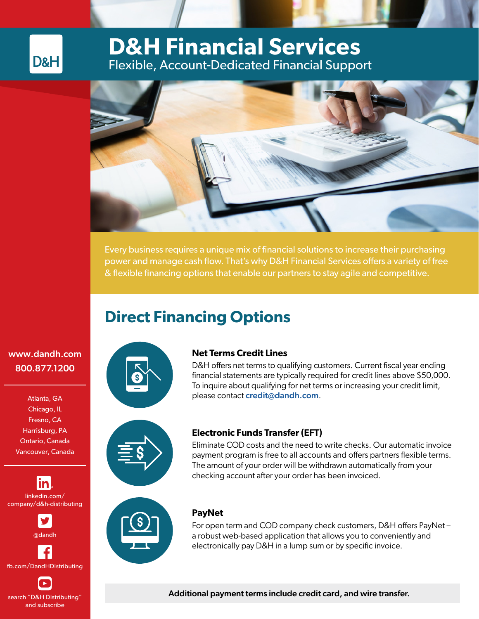## **D&H Financial Services** Flexible, Account-Dedicated Financial Support



Every business requires a unique mix of financial solutions to increase their purchasing power and manage cash flow. That's why D&H Financial Services offers a variety of free & flexible financing options that enable our partners to stay agile and competitive.

# **Direct Financing Options**

### [www.dandh.com](http://www.dandh.com ) 800.877.1200

D&H

Atlanta, GA Chicago, IL Fresno, CA Harrisburg, PA Ontario, Canada Vancouver, Canada

<u>in</u> linkedin.com/ company/d&h-distributing



fb.com/DandHDistributing

search "D&H Distributing" and subscribe



#### **Net Terms Credit Lines**

D&H offers net terms to qualifying customers. Current fiscal year ending financial statements are typically required for credit lines above \$50,000. To inquire about qualifying for net terms or increasing your credit limit, please contact [credit@dandh.com](mailto:credit%40dandh.com?subject=).



#### **Electronic Funds Transfer (EFT)**

Eliminate COD costs and the need to write checks. Our automatic invoice payment program is free to all accounts and offers partners flexible terms. The amount of your order will be withdrawn automatically from your checking account after your order has been invoiced.



### **PayNet**

For open term and COD company check customers, D&H offers PayNet – a robust web-based application that allows you to conveniently and electronically pay D&H in a lump sum or by specific invoice.